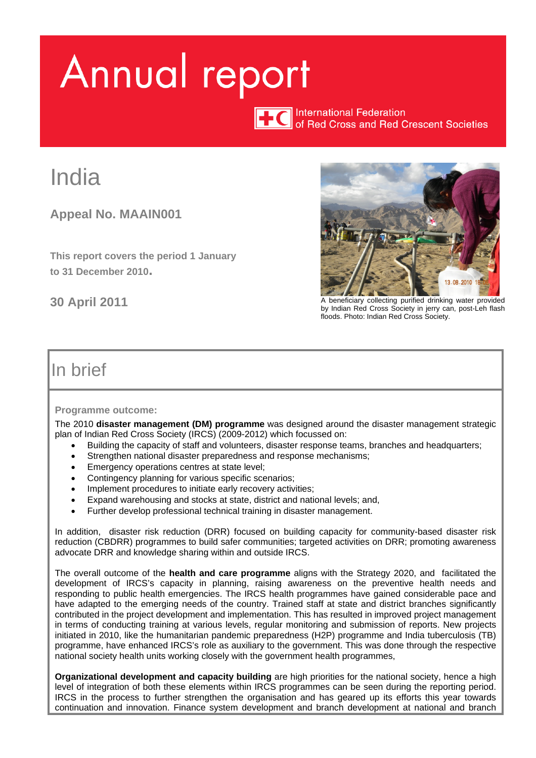# <span id="page-0-0"></span>Annual report

TTC International Federation<br>of Red Cross and Red Crescent Societies

# India

**Appeal No. MAAIN001**

**This report covers the period 1 January to 31 December 2010.** 



**30 April 2011** A beneficiary collecting purified drinking water provided by Indian Red Cross Society in jerry can, post-Leh flash floods. Photo: Indian Red Cross Society.

## In brief

#### **Programme outcome:**

The 2010 **disaster management (DM) programme** was designed around the disaster management strategic plan of Indian Red Cross Society (IRCS) (2009-2012) which focussed on:

- Building the capacity of staff and volunteers, disaster response teams, branches and headquarters;
- Strengthen national disaster preparedness and response mechanisms;
- Emergency operations centres at state level;
- Contingency planning for various specific scenarios;
- Implement procedures to initiate early recovery activities;
- Expand warehousing and stocks at state, district and national levels; and,
- Further develop professional technical training in disaster management.

In addition, disaster risk reduction (DRR) focused on building capacity for community-based disaster risk reduction (CBDRR) programmes to build safer communities; targeted activities on DRR; promoting awareness advocate DRR and knowledge sharing within and outside IRCS.

The overall outcome of the **health and care programme** aligns with the Strategy 2020, and facilitated the development of IRCS's capacity in planning, raising awareness on the preventive health needs and responding to public health emergencies. The IRCS health programmes have gained considerable pace and have adapted to the emerging needs of the country. Trained staff at state and district branches significantly contributed in the project development and implementation. This has resulted in improved project management in terms of conducting training at various levels, regular monitoring and submission of reports. New projects initiated in 2010, like the humanitarian pandemic preparedness (H2P) programme and India tuberculosis (TB) programme, have enhanced IRCS's role as auxiliary to the government. This was done through the respective national society health units working closely with the government health programmes,

**Organizational development and capacity building** are high priorities for the national society, hence a high level of integration of both these elements within IRCS programmes can be seen during the reporting period. IRCS in the process to further strengthen the organisation and has geared up its efforts this year towards continuation and innovation. Finance system development and branch development at national and branch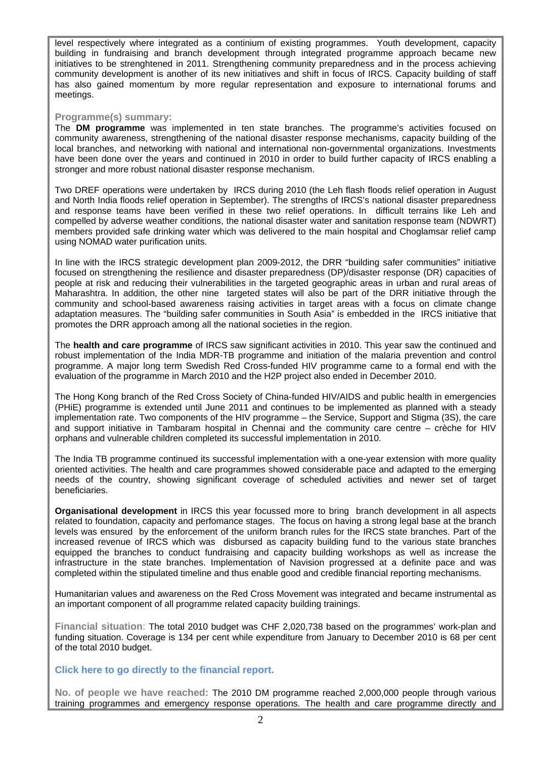level respectively where integrated as a continium of existing programmes. Youth development, capacity building in fundraising and branch development through integrated programme approach became new initiatives to be strenghtened in 2011. Strengthening community preparedness and in the process achieving community development is another of its new initiatives and shift in focus of IRCS. Capacity building of staff has also gained momentum by more regular representation and exposure to international forums and meetings.

#### **Programme(s) summary:**

The **DM programme** was implemented in ten state branches. The programme's activities focused on community awareness, strengthening of the national disaster response mechanisms, capacity building of the local branches, and networking with national and international non-governmental organizations. Investments have been done over the years and continued in 2010 in order to build further capacity of IRCS enabling a stronger and more robust national disaster response mechanism.

Two DREF operations were undertaken by IRCS during 2010 (the Leh flash floods relief operation in August and North India floods relief operation in September). The strengths of IRCS's national disaster preparedness and response teams have been verified in these two relief operations. In difficult terrains like Leh and compelled by adverse weather conditions, the national disaster water and sanitation response team (NDWRT) members provided safe drinking water which was delivered to the main hospital and Choglamsar relief camp using NOMAD water purification units.

In line with the IRCS strategic development plan 2009-2012, the DRR "building safer communities" initiative focused on strengthening the resilience and disaster preparedness (DP)/disaster response (DR) capacities of people at risk and reducing their vulnerabilities in the targeted geographic areas in urban and rural areas of Maharashtra. In addition, the other nine targeted states will also be part of the DRR initiative through the community and school-based awareness raising activities in target areas with a focus on climate change adaptation measures. The "building safer communities in South Asia" is embedded in the IRCS initiative that promotes the DRR approach among all the national societies in the region.

The **health and care programme** of IRCS saw significant activities in 2010. This year saw the continued and robust implementation of the India MDR-TB programme and initiation of the malaria prevention and control programme. A major long term Swedish Red Cross-funded HIV programme came to a formal end with the evaluation of the programme in March 2010 and the H2P project also ended in December 2010.

The Hong Kong branch of the Red Cross Society of China-funded HIV/AIDS and public health in emergencies (PHiE) programme is extended until June 2011 and continues to be implemented as planned with a steady implementation rate. Two components of the HIV programme – the Service, Support and Stigma (3S), the care and support initiative in Tambaram hospital in Chennai and the community care centre – crèche for HIV orphans and vulnerable children completed its successful implementation in 2010.

The India TB programme continued its successful implementation with a one-year extension with more quality oriented activities. The health and care programmes showed considerable pace and adapted to the emerging needs of the country, showing significant coverage of scheduled activities and newer set of target beneficiaries.

**Organisational development** in IRCS this year focussed more to bring branch development in all aspects related to foundation, capacity and perfomance stages. The focus on having a strong legal base at the branch levels was ensured by the enforcement of the uniform branch rules for the IRCS state branches. Part of the increased revenue of IRCS which was disbursed as capacity building fund to the various state branches equipped the branches to conduct fundraising and capacity building workshops as well as increase the infrastructure in the state branches. Implementation of Navision progressed at a definite pace and was completed within the stipulated timeline and thus enable good and credible financial reporting mechanisms.

Humanitarian values and awareness on the Red Cross Movement was integrated and became instrumental as an important component of all programme related capacity building trainings.

**Financial situation**: The total 2010 budget was CHF 2,020,738 based on the programmes' work-plan and funding situation. Coverage is 134 per cent while expenditure from January to December 2010 is 68 per cent of the total 2010 budget.

#### **[Click here to go directly to the financial report.](#page-14-0)**

**No. of people we have reached:** The 2010 DM programme reached 2,000,000 people through various training programmes and emergency response operations. The health and care programme directly and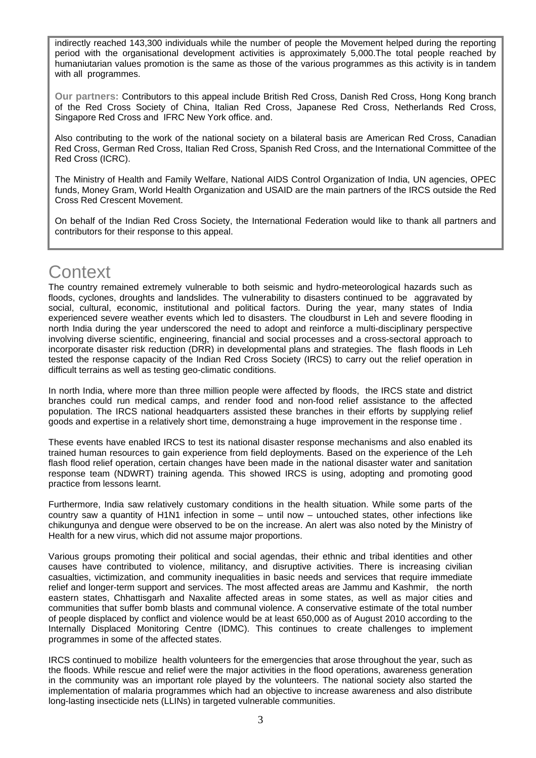indirectly reached 143,300 individuals while the number of people the Movement helped during the reporting period with the organisational development activities is approximately 5,000.The total people reached by humaniutarian values promotion is the same as those of the various programmes as this activity is in tandem with all programmes.

**Our partners:** Contributors to this appeal include British Red Cross, Danish Red Cross, Hong Kong branch of the Red Cross Society of China, Italian Red Cross, Japanese Red Cross, Netherlands Red Cross, Singapore Red Cross and IFRC New York office. and.

Also contributing to the work of the national society on a bilateral basis are American Red Cross, Canadian Red Cross, German Red Cross, Italian Red Cross, Spanish Red Cross, and the International Committee of the Red Cross (ICRC).

The Ministry of Health and Family Welfare, National AIDS Control Organization of India, UN agencies, OPEC funds, Money Gram, World Health Organization and USAID are the main partners of the IRCS outside the Red Cross Red Crescent Movement.

On behalf of the Indian Red Cross Society, the International Federation would like to thank all partners and contributors for their response to this appeal.

## **Context**

The country remained extremely vulnerable to both seismic and hydro-meteorological hazards such as floods, cyclones, droughts and landslides. The vulnerability to disasters continued to be aggravated by social, cultural, economic, institutional and political factors. During the year, many states of India experienced severe weather events which led to disasters. The cloudburst in Leh and severe flooding in north India during the year underscored the need to adopt and reinforce a multi-disciplinary perspective involving diverse scientific, engineering, financial and social processes and a cross-sectoral approach to incorporate disaster risk reduction (DRR) in developmental plans and strategies. The flash floods in Leh tested the response capacity of the Indian Red Cross Society (IRCS) to carry out the relief operation in difficult terrains as well as testing geo-climatic conditions.

In north India, where more than three million people were affected by floods, the IRCS state and district branches could run medical camps, and render food and non-food relief assistance to the affected population. The IRCS national headquarters assisted these branches in their efforts by supplying relief goods and expertise in a relatively short time, demonstraing a huge improvement in the response time .

These events have enabled IRCS to test its national disaster response mechanisms and also enabled its trained human resources to gain experience from field deployments. Based on the experience of the Leh flash flood relief operation, certain changes have been made in the national disaster water and sanitation response team (NDWRT) training agenda. This showed IRCS is using, adopting and promoting good practice from lessons learnt.

Furthermore, India saw relatively customary conditions in the health situation. While some parts of the country saw a quantity of H1N1 infection in some – until now – untouched states, other infections like chikungunya and dengue were observed to be on the increase. An alert was also noted by the Ministry of Health for a new virus, which did not assume major proportions.

Various groups promoting their political and social agendas, their ethnic and tribal identities and other causes have contributed to violence, militancy, and disruptive activities. There is increasing civilian casualties, victimization, and community inequalities in basic needs and services that require immediate relief and longer-term support and services. The most affected areas are Jammu and Kashmir, the north eastern states, Chhattisgarh and Naxalite affected areas in some states, as well as major cities and communities that suffer bomb blasts and communal violence. A conservative estimate of the total number of people displaced by conflict and violence would be at least 650,000 as of August 2010 according to the Internally Displaced Monitoring Centre (IDMC). This continues to create challenges to implement programmes in some of the affected states.

IRCS continued to mobilize health volunteers for the emergencies that arose throughout the year, such as the floods. While rescue and relief were the major activities in the flood operations, awareness generation in the community was an important role played by the volunteers. The national society also started the implementation of malaria programmes which had an objective to increase awareness and also distribute long-lasting insecticide nets (LLINs) in targeted vulnerable communities.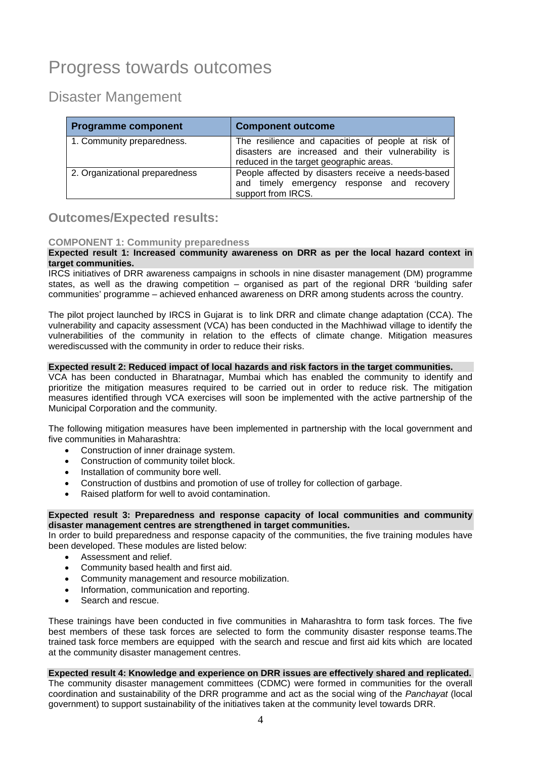## Progress towards outcomes

Disaster Mangement

| <b>Programme component</b>     | <b>Component outcome</b>                                                                                                                            |
|--------------------------------|-----------------------------------------------------------------------------------------------------------------------------------------------------|
| 1. Community preparedness.     | The resilience and capacities of people at risk of<br>disasters are increased and their vulnerability is<br>reduced in the target geographic areas. |
| 2. Organizational preparedness | People affected by disasters receive a needs-based<br>and timely emergency response and recovery<br>support from IRCS.                              |

#### **Outcomes/Expected results:**

#### **COMPONENT 1: Community preparedness**

#### **Expected result 1: Increased community awareness on DRR as per the local hazard context in target communities.**

IRCS initiatives of DRR awareness campaigns in schools in nine disaster management (DM) programme states, as well as the drawing competition – organised as part of the regional DRR 'building safer communities' programme – achieved enhanced awareness on DRR among students across the country.

The pilot project launched by IRCS in Gujarat is to link DRR and climate change adaptation (CCA). The vulnerability and capacity assessment (VCA) has been conducted in the Machhiwad village to identify the vulnerabilities of the community in relation to the effects of climate change. Mitigation measures werediscussed with the community in order to reduce their risks.

#### **Expected result 2: Reduced impact of local hazards and risk factors in the target communities.**

VCA has been conducted in Bharatnagar, Mumbai which has enabled the community to identify and prioritize the mitigation measures required to be carried out in order to reduce risk. The mitigation measures identified through VCA exercises will soon be implemented with the active partnership of the Municipal Corporation and the community.

The following mitigation measures have been implemented in partnership with the local government and five communities in Maharashtra:

- Construction of inner drainage system.
- Construction of community toilet block.
- Installation of community bore well.
- Construction of dustbins and promotion of use of trolley for collection of garbage.
- Raised platform for well to avoid contamination.

#### **Expected result 3: Preparedness and response capacity of local communities and community disaster management centres are strengthened in target communities.**

In order to build preparedness and response capacity of the communities, the five training modules have been developed. These modules are listed below:

- Assessment and relief.
- Community based health and first aid.
- Community management and resource mobilization.
- Information, communication and reporting.
- Search and rescue.

These trainings have been conducted in five communities in Maharashtra to form task forces. The five best members of these task forces are selected to form the community disaster response teams.The trained task force members are equipped with the search and rescue and first aid kits which are located at the community disaster management centres.

#### **Expected result 4: Knowledge and experience on DRR issues are effectively shared and replicated.**

The community disaster management committees (CDMC) were formed in communities for the overall coordination and sustainability of the DRR programme and act as the social wing of the *Panchayat* (local government) to support sustainability of the initiatives taken at the community level towards DRR.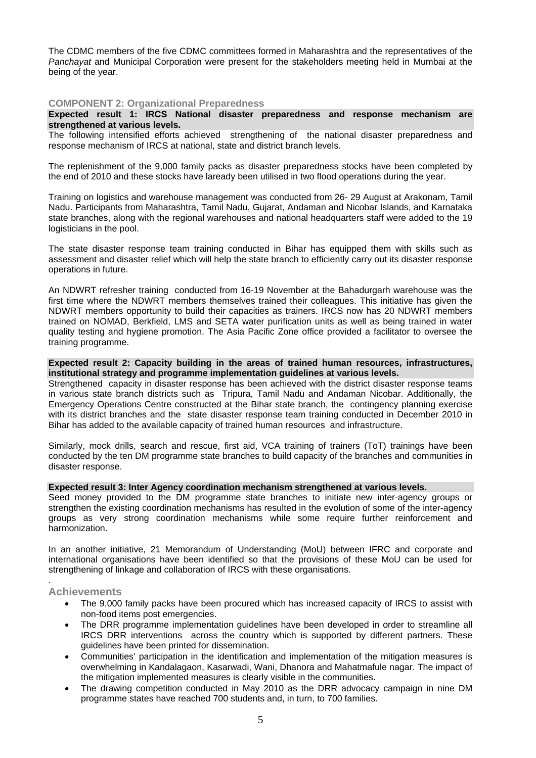The CDMC members of the five CDMC committees formed in Maharashtra and the representatives of the *Panchayat* and Municipal Corporation were present for the stakeholders meeting held in Mumbai at the being of the year.

#### **COMPONENT 2: Organizational Preparedness**

#### **Expected result 1: IRCS National disaster preparedness and response mechanism are strengthened at various levels.**

The following intensified efforts achieved strengthening of the national disaster preparedness and response mechanism of IRCS at national, state and district branch levels.

The replenishment of the 9,000 family packs as disaster preparedness stocks have been completed by the end of 2010 and these stocks have laready been utilised in two flood operations during the year.

Training on logistics and warehouse management was conducted from 26- 29 August at Arakonam, Tamil Nadu. Participants from Maharashtra, Tamil Nadu, Gujarat, Andaman and Nicobar Islands, and Karnataka state branches, along with the regional warehouses and national headquarters staff were added to the 19 logisticians in the pool.

The state disaster response team training conducted in Bihar has equipped them with skills such as assessment and disaster relief which will help the state branch to efficiently carry out its disaster response operations in future.

An NDWRT refresher training conducted from 16-19 November at the Bahadurgarh warehouse was the first time where the NDWRT members themselves trained their colleagues. This initiative has given the NDWRT members opportunity to build their capacities as trainers. IRCS now has 20 NDWRT members trained on NOMAD, Berkfield, LMS and SETA water purification units as well as being trained in water quality testing and hygiene promotion. The Asia Pacific Zone office provided a facilitator to oversee the training programme.

#### **Expected result 2: Capacity building in the areas of trained human resources, infrastructures, institutional strategy and programme implementation guidelines at various levels.**

Strengthened capacity in disaster response has been achieved with the district disaster response teams in various state branch districts such as Tripura, Tamil Nadu and Andaman Nicobar. Additionally, the Emergency Operations Centre constructed at the Bihar state branch, the contingency planning exercise with its district branches and the state disaster response team training conducted in December 2010 in Bihar has added to the available capacity of trained human resources and infrastructure.

Similarly, mock drills, search and rescue, first aid, VCA training of trainers (ToT) trainings have been conducted by the ten DM programme state branches to build capacity of the branches and communities in disaster response.

#### **Expected result 3: Inter Agency coordination mechanism strengthened at various levels.**

Seed money provided to the DM programme state branches to initiate new inter-agency groups or strengthen the existing coordination mechanisms has resulted in the evolution of some of the inter-agency groups as very strong coordination mechanisms while some require further reinforcement and harmonization.

In an another initiative, 21 Memorandum of Understanding (MoU) between IFRC and corporate and international organisations have been identified so that the provisions of these MoU can be used for strengthening of linkage and collaboration of IRCS with these organisations.

#### **Achievements**

.

- The 9,000 family packs have been procured which has increased capacity of IRCS to assist with non-food items post emergencies.
- The DRR programme implementation guidelines have been developed in order to streamline all IRCS DRR interventions across the country which is supported by different partners. These guidelines have been printed for dissemination.
- Communities' participation in the identification and implementation of the mitigation measures is overwhelming in Kandalagaon, Kasarwadi, Wani, Dhanora and Mahatmafule nagar. The impact of the mitigation implemented measures is clearly visible in the communities.
- The drawing competition conducted in May 2010 as the DRR advocacy campaign in nine DM programme states have reached 700 students and, in turn, to 700 families.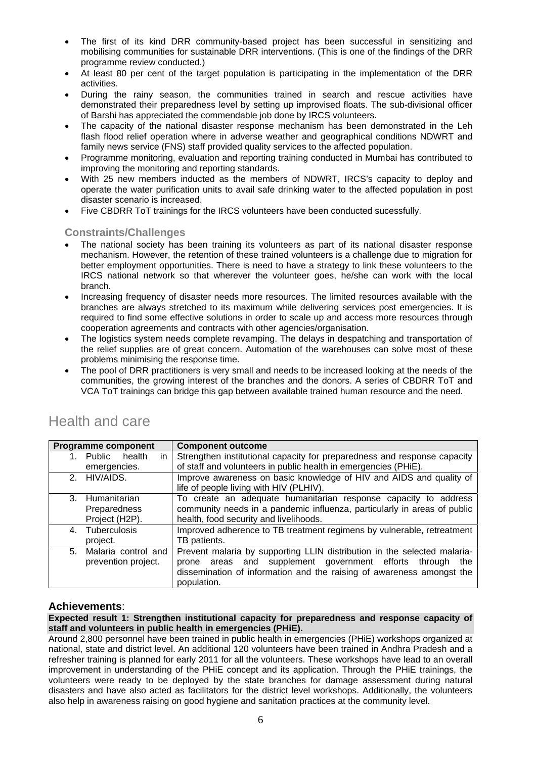- The first of its kind DRR community-based project has been successful in sensitizing and mobilising communities for sustainable DRR interventions. (This is one of the findings of the DRR programme review conducted.)
- At least 80 per cent of the target population is participating in the implementation of the DRR activities.
- During the rainy season, the communities trained in search and rescue activities have demonstrated their preparedness level by setting up improvised floats. The sub-divisional officer of Barshi has appreciated the commendable job done by IRCS volunteers.
- The capacity of the national disaster response mechanism has been demonstrated in the Leh flash flood relief operation where in adverse weather and geographical conditions NDWRT and family news service (FNS) staff provided quality services to the affected population.
- Programme monitoring, evaluation and reporting training conducted in Mumbai has contributed to improving the monitoring and reporting standards.
- With 25 new members inducted as the members of NDWRT, IRCS's capacity to deploy and operate the water purification units to avail safe drinking water to the affected population in post disaster scenario is increased.
- Five CBDRR ToT trainings for the IRCS volunteers have been conducted sucessfully.

#### **Constraints/Challenges**

- The national society has been training its volunteers as part of its national disaster response mechanism. However, the retention of these trained volunteers is a challenge due to migration for better employment opportunities. There is need to have a strategy to link these volunteers to the IRCS national network so that wherever the volunteer goes, he/she can work with the local branch.
- Increasing frequency of disaster needs more resources. The limited resources available with the branches are always stretched to its maximum while delivering services post emergencies. It is required to find some effective solutions in order to scale up and access more resources through cooperation agreements and contracts with other agencies/organisation.
- The logistics system needs complete revamping. The delays in despatching and transportation of the relief supplies are of great concern. Automation of the warehouses can solve most of these problems minimising the response time.
- The pool of DRR practitioners is very small and needs to be increased looking at the needs of the communities, the growing interest of the branches and the donors. A series of CBDRR ToT and VCA ToT trainings can bridge this gap between available trained human resource and the need.

| <b>Programme component</b> | <b>Component outcome</b>                                                 |
|----------------------------|--------------------------------------------------------------------------|
| in<br>Public health<br>1.  | Strengthen institutional capacity for preparedness and response capacity |
| emergencies.               | of staff and volunteers in public health in emergencies (PHiE).          |
| 2. HIV/AIDS.               | Improve awareness on basic knowledge of HIV and AIDS and quality of      |
|                            | life of people living with HIV (PLHIV).                                  |
| 3. Humanitarian            | To create an adequate humanitarian response capacity to address          |
| Preparedness               | community needs in a pandemic influenza, particularly in areas of public |
| Project (H2P).             | health, food security and livelihoods.                                   |
| Tuberculosis<br>4.         | Improved adherence to TB treatment regimens by vulnerable, retreatment   |
| project.                   | TB patients.                                                             |
| Malaria control and<br>5.  | Prevent malaria by supporting LLIN distribution in the selected malaria- |
| prevention project.        | and supplement government efforts through<br>the<br>areas<br>prone       |
|                            | dissemination of information and the raising of awareness amongst the    |
|                            | population.                                                              |

## Health and care

#### **Achievements**:

#### **Expected result 1: Strengthen institutional capacity for preparedness and response capacity of staff and volunteers in public health in emergencies (PHiE).**

Around 2,800 personnel have been trained in public health in emergencies (PHiE) workshops organized at national, state and district level. An additional 120 volunteers have been trained in Andhra Pradesh and a refresher training is planned for early 2011 for all the volunteers. These workshops have lead to an overall improvement in understanding of the PHiE concept and its application. Through the PHiE trainings, the volunteers were ready to be deployed by the state branches for damage assessment during natural disasters and have also acted as facilitators for the district level workshops. Additionally, the volunteers also help in awareness raising on good hygiene and sanitation practices at the community level.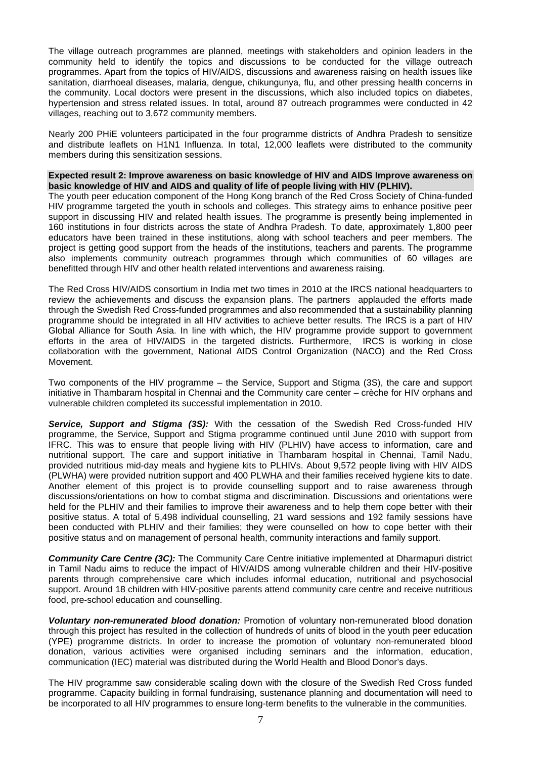The village outreach programmes are planned, meetings with stakeholders and opinion leaders in the community held to identify the topics and discussions to be conducted for the village outreach programmes. Apart from the topics of HIV/AIDS, discussions and awareness raising on health issues like sanitation, diarrhoeal diseases, malaria, dengue, chikungunya, flu, and other pressing health concerns in the community. Local doctors were present in the discussions, which also included topics on diabetes, hypertension and stress related issues. In total, around 87 outreach programmes were conducted in 42 villages, reaching out to 3,672 community members.

Nearly 200 PHiE volunteers participated in the four programme districts of Andhra Pradesh to sensitize and distribute leaflets on H1N1 Influenza. In total, 12,000 leaflets were distributed to the community members during this sensitization sessions.

**Expected result 2: Improve awareness on basic knowledge of HIV and AIDS Improve awareness on basic knowledge of HIV and AIDS and quality of life of people living with HIV (PLHIV).** 

The youth peer education component of the Hong Kong branch of the Red Cross Society of China-funded HIV programme targeted the youth in schools and colleges. This strategy aims to enhance positive peer support in discussing HIV and related health issues. The programme is presently being implemented in 160 institutions in four districts across the state of Andhra Pradesh. To date, approximately 1,800 peer educators have been trained in these institutions, along with school teachers and peer members. The project is getting good support from the heads of the institutions, teachers and parents. The programme also implements community outreach programmes through which communities of 60 villages are benefitted through HIV and other health related interventions and awareness raising.

The Red Cross HIV/AIDS consortium in India met two times in 2010 at the IRCS national headquarters to review the achievements and discuss the expansion plans. The partners applauded the efforts made through the Swedish Red Cross-funded programmes and also recommended that a sustainability planning programme should be integrated in all HIV activities to achieve better results. The IRCS is a part of HIV Global Alliance for South Asia. In line with which, the HIV programme provide support to government efforts in the area of HIV/AIDS in the targeted districts. Furthermore, IRCS is working in close collaboration with the government, National AIDS Control Organization (NACO) and the Red Cross Movement.

Two components of the HIV programme – the Service, Support and Stigma (3S), the care and support initiative in Thambaram hospital in Chennai and the Community care center – crèche for HIV orphans and vulnerable children completed its successful implementation in 2010.

*Service, Support and Stigma (3S):* With the cessation of the Swedish Red Cross-funded HIV programme, the Service, Support and Stigma programme continued until June 2010 with support from IFRC. This was to ensure that people living with HIV (PLHIV) have access to information, care and nutritional support. The care and support initiative in Thambaram hospital in Chennai, Tamil Nadu, provided nutritious mid-day meals and hygiene kits to PLHIVs. About 9,572 people living with HIV AIDS (PLWHA) were provided nutrition support and 400 PLWHA and their families received hygiene kits to date. Another element of this project is to provide counselling support and to raise awareness through discussions/orientations on how to combat stigma and discrimination. Discussions and orientations were held for the PLHIV and their families to improve their awareness and to help them cope better with their positive status. A total of 5,498 individual counselling, 21 ward sessions and 192 family sessions have been conducted with PLHIV and their families; they were counselled on how to cope better with their positive status and on management of personal health, community interactions and family support.

*Community Care Centre (3C):* The Community Care Centre initiative implemented at Dharmapuri district in Tamil Nadu aims to reduce the impact of HIV/AIDS among vulnerable children and their HIV-positive parents through comprehensive care which includes informal education, nutritional and psychosocial support. Around 18 children with HIV-positive parents attend community care centre and receive nutritious food, pre-school education and counselling.

*Voluntary non-remunerated blood donation:* Promotion of voluntary non-remunerated blood donation through this project has resulted in the collection of hundreds of units of blood in the youth peer education (YPE) programme districts. In order to increase the promotion of voluntary non-remunerated blood donation, various activities were organised including seminars and the information, education, communication (IEC) material was distributed during the World Health and Blood Donor's days.

The HIV programme saw considerable scaling down with the closure of the Swedish Red Cross funded programme. Capacity building in formal fundraising, sustenance planning and documentation will need to be incorporated to all HIV programmes to ensure long-term benefits to the vulnerable in the communities.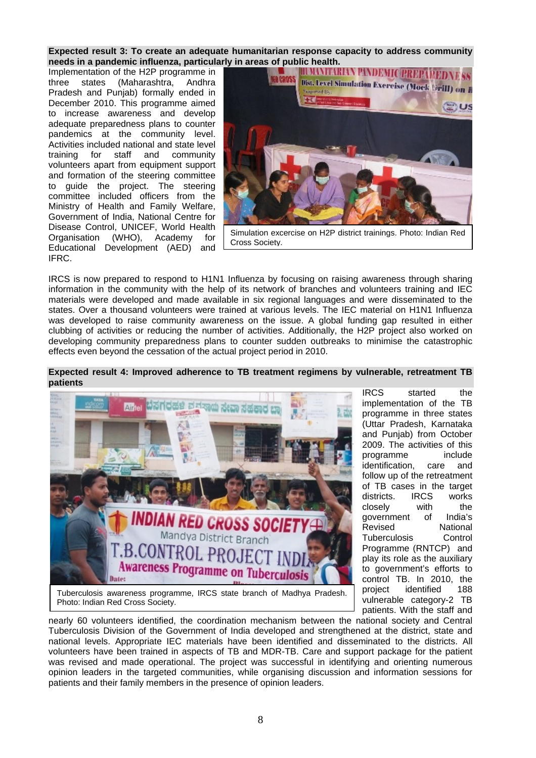**Expected result 3: To create an adequate humanitarian response capacity to address community needs in a pandemic influenza, particularly in areas of public health.<br>Implementation of the H2P programme in <b>The Base of ALCON INVITARIAN PANDEMIC PREPARED NESS** 

Implementation of the H2P programme in three states (Maharashtra, Andhra Pradesh and Punjab) formally ended in December 2010. This programme aimed to increase awareness and develop adequate preparedness plans to counter pandemics at the community level. Activities included national and state level training for staff and community volunteers apart from equipment support and formation of the steering committee to guide the project. The steering committee included officers from the Ministry of Health and Family Welfare, Government of India, National Centre for Disease Control, UNICEF, World Health Organisation (WHO), Academy for Educational Development (AED) and IFRC.



IRCS is now prepared to respond to H1N1 Influenza by focusing on raising awareness through sharing information in the community with the help of its network of branches and volunteers training and IEC materials were developed and made available in six regional languages and were disseminated to the states. Over a thousand volunteers were trained at various levels. The IEC material on H1N1 Influenza was developed to raise community awareness on the issue. A global funding gap resulted in either clubbing of activities or reducing the number of activities. Additionally, the H2P project also worked on developing community preparedness plans to counter sudden outbreaks to minimise the catastrophic effects even beyond the cessation of the actual project period in 2010.

#### **Expected result 4: Improved adherence to TB treatment regimens by vulnerable, retreatment TB patients**



implementation of the TB programme in three states (Uttar Pradesh, Karnataka and Punjab) from October 2009. The activities of this programme include identification, care and follow up of the retreatment of TB cases in the target districts. IRCS works<br>closelv with the closely with the government of India's Revised National Tuberculosis Control Programme (RNTCP) and play its role as the auxiliary to government's efforts to control TB. In 2010, the project identified 188 vulnerable category-2 TB patients. With the staff and

IRCS started the

Tuberculosis awareness programme, IRCS state branch of Madhya Pradesh. Photo: Indian Red Cross Society.

nearly 60 volunteers identified, the coordination mechanism between the national society and Central Tuberculosis Division of the Government of India developed and strengthened at the district, state and national levels. Appropriate IEC materials have been identified and disseminated to the districts. All volunteers have been trained in aspects of TB and MDR-TB. Care and support package for the patient was revised and made operational. The project was successful in identifying and orienting numerous opinion leaders in the targeted communities, while organising discussion and information sessions for patients and their family members in the presence of opinion leaders.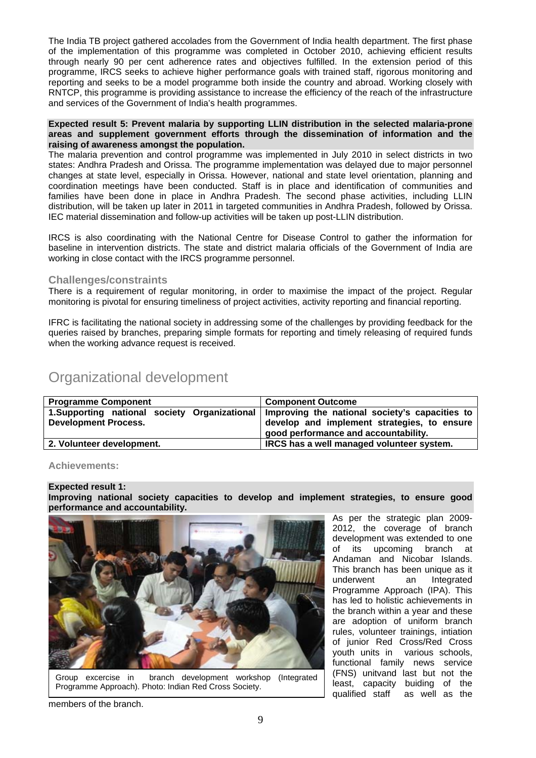The India TB project gathered accolades from the Government of India health department. The first phase of the implementation of this programme was completed in October 2010, achieving efficient results through nearly 90 per cent adherence rates and objectives fulfilled. In the extension period of this programme, IRCS seeks to achieve higher performance goals with trained staff, rigorous monitoring and reporting and seeks to be a model programme both inside the country and abroad. Working closely with RNTCP, this programme is providing assistance to increase the efficiency of the reach of the infrastructure and services of the Government of India's health programmes.

#### **Expected result 5: Prevent malaria by supporting LLIN distribution in the selected malaria-prone areas and supplement government efforts through the dissemination of information and the raising of awareness amongst the population.**

The malaria prevention and control programme was implemented in July 2010 in select districts in two states: Andhra Pradesh and Orissa. The programme implementation was delayed due to major personnel changes at state level, especially in Orissa. However, national and state level orientation, planning and coordination meetings have been conducted. Staff is in place and identification of communities and families have been done in place in Andhra Pradesh. The second phase activities, including LLIN distribution, will be taken up later in 2011 in targeted communities in Andhra Pradesh, followed by Orissa. IEC material dissemination and follow-up activities will be taken up post-LLIN distribution.

IRCS is also coordinating with the National Centre for Disease Control to gather the information for baseline in intervention districts. The state and district malaria officials of the Government of India are working in close contact with the IRCS programme personnel.

#### **Challenges/constraints**

There is a requirement of reqular monitoring, in order to maximise the impact of the project. Regular monitoring is pivotal for ensuring timeliness of project activities, activity reporting and financial reporting.

IFRC is facilitating the national society in addressing some of the challenges by providing feedback for the queries raised by branches, preparing simple formats for reporting and timely releasing of required funds when the working advance request is received.

## Organizational development

| <b>Component Outcome</b>                                                                     |  |  |
|----------------------------------------------------------------------------------------------|--|--|
| 1. Supporting national society Organizational Improving the national society's capacities to |  |  |
| develop and implement strategies, to ensure                                                  |  |  |
| good performance and accountability.                                                         |  |  |
| IRCS has a well managed volunteer system.                                                    |  |  |
|                                                                                              |  |  |

#### **Achievements:**

#### **Expected result 1:**

**Improving national society capacities to develop and implement strategies, to ensure good performance and accountability.** 



Group excercise in branch development workshop (Integrated Programme Approach). Photo: Indian Red Cross Society.

As per the strategic plan 2009- 2012, the coverage of branch development was extended to one of its upcoming branch at Andaman and Nicobar Islands. This branch has been unique as it underwent an Integrated Programme Approach (IPA). This has led to holistic achievements in the branch within a year and these are adoption of uniform branch rules, volunteer trainings, intiation of junior Red Cross/Red Cross youth units in various schools, functional family news service (FNS) unitvand last but not the least, capacity buiding of the qualified staff as well as the

members of the branch.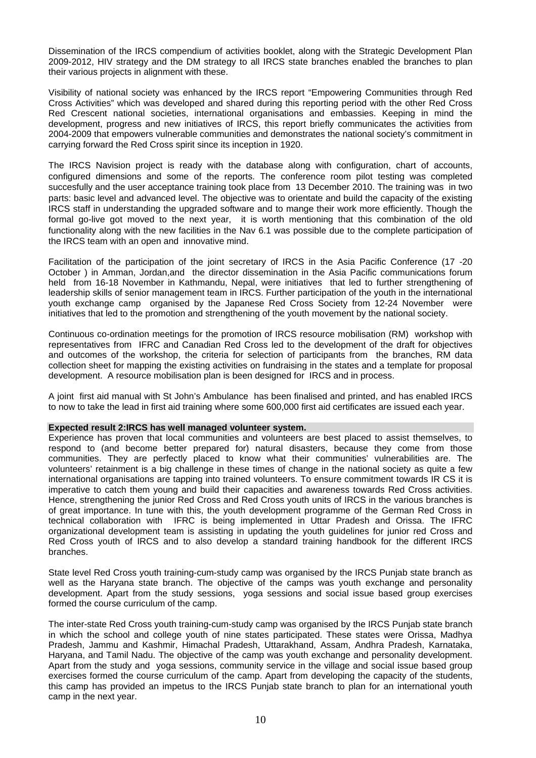Dissemination of the IRCS compendium of activities booklet, along with the Strategic Development Plan 2009-2012, HIV strategy and the DM strategy to all IRCS state branches enabled the branches to plan their various projects in alignment with these.

Visibility of national society was enhanced by the IRCS report "Empowering Communities through Red Cross Activities" which was developed and shared during this reporting period with the other Red Cross Red Crescent national societies, international organisations and embassies. Keeping in mind the development, progress and new initiatives of IRCS, this report briefly communicates the activities from 2004-2009 that empowers vulnerable communities and demonstrates the national society's commitment in carrying forward the Red Cross spirit since its inception in 1920.

The IRCS Navision project is ready with the database along with configuration, chart of accounts, configured dimensions and some of the reports. The conference room pilot testing was completed succesfully and the user acceptance training took place from 13 December 2010. The training was in two parts: basic level and advanced level. The objective was to orientate and build the capacity of the existing IRCS staff in understanding the upgraded software and to mange their work more efficiently. Though the formal go-live got moved to the next year, it is worth mentioning that this combination of the old functionality along with the new facilities in the Nav 6.1 was possible due to the complete participation of the IRCS team with an open and innovative mind.

Facilitation of the participation of the joint secretary of IRCS in the Asia Pacific Conference (17 -20 October ) in Amman, Jordan,and the director dissemination in the Asia Pacific communications forum held from 16-18 November in Kathmandu, Nepal, were initiatives that led to further strengthening of leadership skills of senior management team in IRCS. Further participation of the youth in the international youth exchange camp organised by the Japanese Red Cross Society from 12-24 November were initiatives that led to the promotion and strengthening of the youth movement by the national society.

Continuous co-ordination meetings for the promotion of IRCS resource mobilisation (RM) workshop with representatives from IFRC and Canadian Red Cross led to the development of the draft for objectives and outcomes of the workshop, the criteria for selection of participants from the branches, RM data collection sheet for mapping the existing activities on fundraising in the states and a template for proposal development. A resource mobilisation plan is been designed for IRCS and in process.

A joint first aid manual with St John's Ambulance has been finalised and printed, and has enabled IRCS to now to take the lead in first aid training where some 600,000 first aid certificates are issued each year.

#### **Expected result 2:IRCS has well managed volunteer system.**

Experience has proven that local communities and volunteers are best placed to assist themselves, to respond to (and become better prepared for) natural disasters, because they come from those communities. They are perfectly placed to know what their communities' vulnerabilities are. The volunteers' retainment is a big challenge in these times of change in the national society as quite a few international organisations are tapping into trained volunteers. To ensure commitment towards IR CS it is imperative to catch them young and build their capacities and awareness towards Red Cross activities. Hence, strengthening the junior Red Cross and Red Cross youth units of IRCS in the various branches is of great importance. In tune with this, the youth development programme of the German Red Cross in technical collaboration with IFRC is being implemented in Uttar Pradesh and Orissa. The IFRC organizational development team is assisting in updating the youth guidelines for junior red Cross and Red Cross youth of IRCS and to also develop a standard training handbook for the different IRCS branches.

State level Red Cross youth training-cum-study camp was organised by the IRCS Punjab state branch as well as the Haryana state branch. The objective of the camps was youth exchange and personality development. Apart from the study sessions, yoga sessions and social issue based group exercises formed the course curriculum of the camp.

The inter-state Red Cross youth training-cum-study camp was organised by the IRCS Punjab state branch in which the school and college youth of nine states participated. These states were Orissa, Madhya Pradesh, Jammu and Kashmir, Himachal Pradesh, Uttarakhand, Assam, Andhra Pradesh, Karnataka, Haryana, and Tamil Nadu. The objective of the camp was youth exchange and personality development. Apart from the study and yoga sessions, community service in the village and social issue based group exercises formed the course curriculum of the camp. Apart from developing the capacity of the students, this camp has provided an impetus to the IRCS Punjab state branch to plan for an international youth camp in the next year.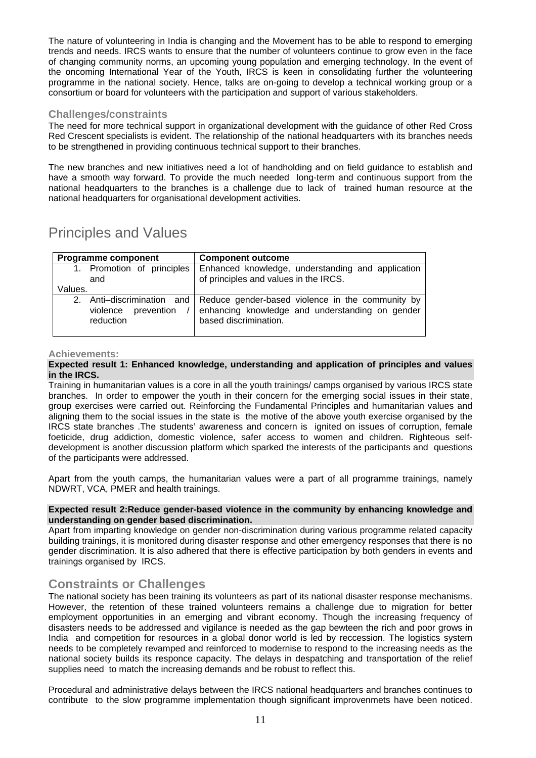The nature of volunteering in India is changing and the Movement has to be able to respond to emerging trends and needs. IRCS wants to ensure that the number of volunteers continue to grow even in the face of changing community norms, an upcoming young population and emerging technology. In the event of the oncoming International Year of the Youth, IRCS is keen in consolidating further the volunteering programme in the national society. Hence, talks are on-going to develop a technical working group or a consortium or board for volunteers with the participation and support of various stakeholders.

#### **Challenges/constraints**

The need for more technical support in organizational development with the guidance of other Red Cross Red Crescent specialists is evident. The relationship of the national headquarters with its branches needs to be strengthened in providing continuous technical support to their branches.

The new branches and new initiatives need a lot of handholding and on field guidance to establish and have a smooth way forward. To provide the much needed long-term and continuous support from the national headquarters to the branches is a challenge due to lack of trained human resource at the national headquarters for organisational development activities.

## Principles and Values

| <b>Programme component</b> | <b>Component outcome</b>                                                    |
|----------------------------|-----------------------------------------------------------------------------|
| 1. Promotion of principles | Enhanced knowledge, understanding and application                           |
| and                        | of principles and values in the IRCS.                                       |
| Values.                    |                                                                             |
| prevention                 | 2. Anti-discrimination and Reduce gender-based violence in the community by |
| violence                   | enhancing knowledge and understanding on gender                             |
| reduction                  | based discrimination.                                                       |

#### **Achievements:**

#### **Expected result 1: Enhanced knowledge, understanding and application of principles and values in the IRCS.**

Training in humanitarian values is a core in all the youth trainings/ camps organised by various IRCS state branches. In order to empower the youth in their concern for the emerging social issues in their state, group exercises were carried out. Reinforcing the Fundamental Principles and humanitarian values and aligning them to the social issues in the state is the motive of the above youth exercise organised by the IRCS state branches .The students' awareness and concern is ignited on issues of corruption, female foeticide, drug addiction, domestic violence, safer access to women and children. Righteous selfdevelopment is another discussion platform which sparked the interests of the participants and questions of the participants were addressed.

Apart from the youth camps, the humanitarian values were a part of all programme trainings, namely NDWRT, VCA, PMER and health trainings.

#### **Expected result 2:Reduce gender-based violence in the community by enhancing knowledge and understanding on gender based discrimination.**

Apart from imparting knowledge on gender non-discrimination during various programme related capacity building trainings, it is monitored during disaster response and other emergency responses that there is no gender discrimination. It is also adhered that there is effective participation by both genders in events and trainings organised by IRCS.

**Constraints or Challenges**<br>The national society has been training its volunteers as part of its national disaster response mechanisms. However, the retention of these trained volunteers remains a challenge due to migration for better employment opportunities in an emerging and vibrant economy. Though the increasing frequency of disasters needs to be addressed and vigilance is needed as the gap bewteen the rich and poor grows in India and competition for resources in a global donor world is led by reccession. The logistics system needs to be completely revamped and reinforced to modernise to respond to the increasing needs as the national society builds its responce capacity. The delays in despatching and transportation of the relief supplies need to match the increasing demands and be robust to reflect this.

Procedural and administrative delays between the IRCS national headquarters and branches continues to contribute to the slow programme implementation though significant improvenmets have been noticed.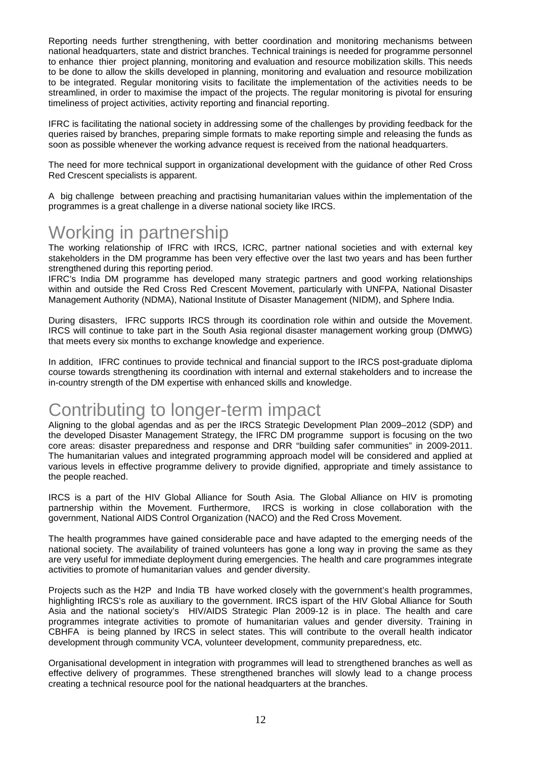Reporting needs further strengthening, with better coordination and monitoring mechanisms between national headquarters, state and district branches. Technical trainings is needed for programme personnel to enhance thier project planning, monitoring and evaluation and resource mobilization skills. This needs to be done to allow the skills developed in planning, monitoring and evaluation and resource mobilization to be integrated. Regular monitoring visits to facilitate the implementation of the activities needs to be streamlined, in order to maximise the impact of the projects. The regular monitoring is pivotal for ensuring timeliness of project activities, activity reporting and financial reporting.

IFRC is facilitating the national society in addressing some of the challenges by providing feedback for the queries raised by branches, preparing simple formats to make reporting simple and releasing the funds as soon as possible whenever the working advance request is received from the national headquarters.

The need for more technical support in organizational development with the guidance of other Red Cross Red Crescent specialists is apparent.

A big challenge between preaching and practising humanitarian values within the implementation of the programmes is a great challenge in a diverse national society like IRCS.

## Working in partnership

The working relationship of IFRC with IRCS, ICRC, partner national societies and with external key stakeholders in the DM programme has been very effective over the last two years and has been further strengthened during this reporting period.

IFRC's India DM programme has developed many strategic partners and good working relationships within and outside the Red Cross Red Crescent Movement, particularly with UNFPA, National Disaster Management Authority (NDMA), National Institute of Disaster Management (NIDM), and Sphere India.

During disasters, IFRC supports IRCS through its coordination role within and outside the Movement. IRCS will continue to take part in the South Asia regional disaster management working group (DMWG) that meets every six months to exchange knowledge and experience.

In addition, IFRC continues to provide technical and financial support to the IRCS post-graduate diploma course towards strengthening its coordination with internal and external stakeholders and to increase the in-country strength of the DM expertise with enhanced skills and knowledge.

## Contributing to longer-term impact

Aligning to the global agendas and as per the IRCS Strategic Development Plan 2009–2012 (SDP) and the developed Disaster Management Strategy, the IFRC DM programme support is focusing on the two core areas: disaster preparedness and response and DRR "building safer communities" in 2009-2011. The humanitarian values and integrated programming approach model will be considered and applied at various levels in effective programme delivery to provide dignified, appropriate and timely assistance to the people reached.

IRCS is a part of the HIV Global Alliance for South Asia. The Global Alliance on HIV is promoting partnership within the Movement. Furthermore, IRCS is working in close collaboration with the government, National AIDS Control Organization (NACO) and the Red Cross Movement.

The health programmes have gained considerable pace and have adapted to the emerging needs of the national society. The availability of trained volunteers has gone a long way in proving the same as they are very useful for immediate deployment during emergencies. The health and care programmes integrate activities to promote of humanitarian values and gender diversity.

Projects such as the H2P and India TB have worked closely with the government's health programmes, highlighting IRCS's role as auxiliary to the government. IRCS ispart of the HIV Global Alliance for South Asia and the national society's HIV/AIDS Strategic Plan 2009-12 is in place. The health and care programmes integrate activities to promote of humanitarian values and gender diversity. Training in CBHFA is being planned by IRCS in select states. This will contribute to the overall health indicator development through community VCA, volunteer development, community preparedness, etc.

Organisational development in integration with programmes will lead to strengthened branches as well as effective delivery of programmes. These strengthened branches will slowly lead to a change process creating a technical resource pool for the national headquarters at the branches.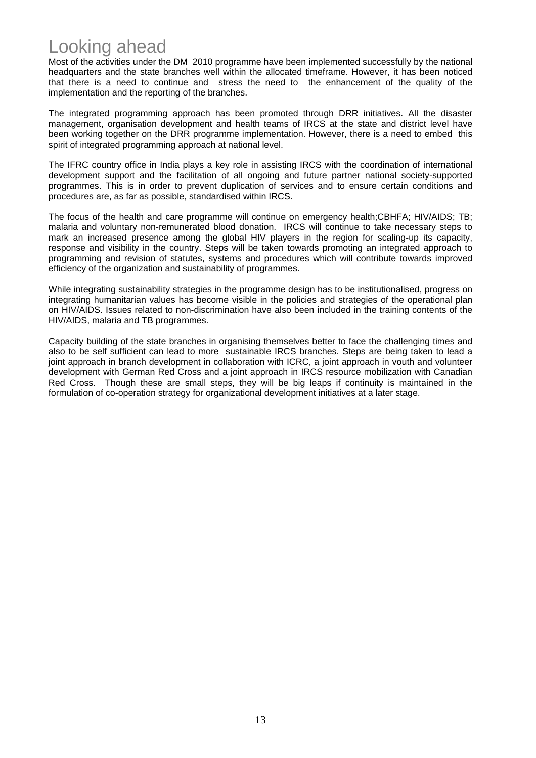## Looking ahead

Most of the activities under the DM 2010 programme have been implemented successfully by the national headquarters and the state branches well within the allocated timeframe. However, it has been noticed that there is a need to continue and stress the need to the enhancement of the quality of the implementation and the reporting of the branches.

The integrated programming approach has been promoted through DRR initiatives. All the disaster management, organisation development and health teams of IRCS at the state and district level have been working together on the DRR programme implementation. However, there is a need to embed this spirit of integrated programming approach at national level.

The IFRC country office in India plays a key role in assisting IRCS with the coordination of international development support and the facilitation of all ongoing and future partner national society-supported programmes. This is in order to prevent duplication of services and to ensure certain conditions and procedures are, as far as possible, standardised within IRCS.

The focus of the health and care programme will continue on emergency health;CBHFA; HIV/AIDS; TB; malaria and voluntary non-remunerated blood donation. IRCS will continue to take necessary steps to mark an increased presence among the global HIV players in the region for scaling-up its capacity, response and visibility in the country. Steps will be taken towards promoting an integrated approach to programming and revision of statutes, systems and procedures which will contribute towards improved efficiency of the organization and sustainability of programmes.

While integrating sustainability strategies in the programme design has to be institutionalised, progress on integrating humanitarian values has become visible in the policies and strategies of the operational plan on HIV/AIDS. Issues related to non-discrimination have also been included in the training contents of the HIV/AIDS, malaria and TB programmes.

Capacity building of the state branches in organising themselves better to face the challenging times and also to be self sufficient can lead to more sustainable IRCS branches. Steps are being taken to lead a joint approach in branch development in collaboration with ICRC, a joint approach in vouth and volunteer development with German Red Cross and a joint approach in IRCS resource mobilization with Canadian Red Cross. Though these are small steps, they will be big leaps if continuity is maintained in the formulation of co-operation strategy for organizational development initiatives at a later stage.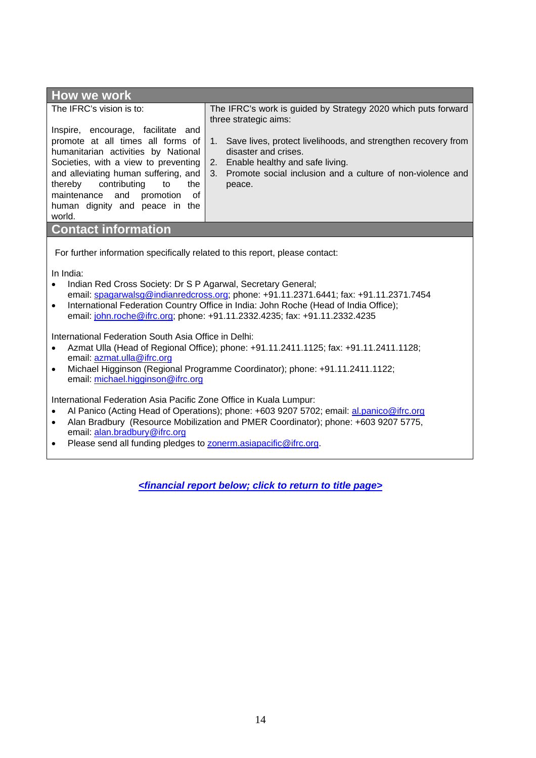| <b>How we work</b>                                                                                                                                                                                                                                                                                                                                                                                       |                                                                                                                                                                                                           |  |  |  |  |
|----------------------------------------------------------------------------------------------------------------------------------------------------------------------------------------------------------------------------------------------------------------------------------------------------------------------------------------------------------------------------------------------------------|-----------------------------------------------------------------------------------------------------------------------------------------------------------------------------------------------------------|--|--|--|--|
| The IFRC's vision is to:                                                                                                                                                                                                                                                                                                                                                                                 | The IFRC's work is guided by Strategy 2020 which puts forward<br>three strategic aims:                                                                                                                    |  |  |  |  |
| Inspire, encourage, facilitate and<br>promote at all times all forms of<br>humanitarian activities by National<br>Societies, with a view to preventing<br>and alleviating human suffering, and<br>contributing<br>thereby<br>to<br>the<br>maintenance and promotion of<br>human dignity and peace in the<br>world.                                                                                       | 1. Save lives, protect livelihoods, and strengthen recovery from<br>disaster and crises.<br>2. Enable healthy and safe living.<br>3. Promote social inclusion and a culture of non-violence and<br>peace. |  |  |  |  |
| <b>Contact information</b>                                                                                                                                                                                                                                                                                                                                                                               |                                                                                                                                                                                                           |  |  |  |  |
| For further information specifically related to this report, please contact:<br>In India:<br>Indian Red Cross Society: Dr S P Agarwal, Secretary General;<br>$\bullet$<br>email: spagarwalsg@indianredcross.org; phone: +91.11.2371.6441; fax: +91.11.2371.7454<br>International Federation Country Office in India: John Roche (Head of India Office);<br>$\bullet$                                     |                                                                                                                                                                                                           |  |  |  |  |
| email: john.roche@ifrc.org; phone: +91.11.2332.4235; fax: +91.11.2332.4235<br>International Federation South Asia Office in Delhi:<br>Azmat Ulla (Head of Regional Office); phone: +91.11.2411.1125; fax: +91.11.2411.1128;<br>$\bullet$<br>email: azmat.ulla@ifrc.org<br>Michael Higginson (Regional Programme Coordinator); phone: +91.11.2411.1122;<br>$\bullet$<br>email: michael.higginson@ifrc.org |                                                                                                                                                                                                           |  |  |  |  |
| International Federation Asia Pacific Zone Office in Kuala Lumpur:<br>AL Papico (Acting Head of Operations); phone: +603,9207,5702; email: al papico@ifre.org                                                                                                                                                                                                                                            |                                                                                                                                                                                                           |  |  |  |  |

- Al Panico (Acting Head of Operations); phone: +603 9207 5702; email: al.panico@ifrc.org • Alan Bradbury (Resource Mobilization and PMER Coordinator); phone: +603 9207 5775,
- email: alan.bradbury@ifrc.org • Please send all funding pledges to **zonerm.asiapacific@ifrc.org**.

*[<financial report below; click to return to title page>](#page-0-0)*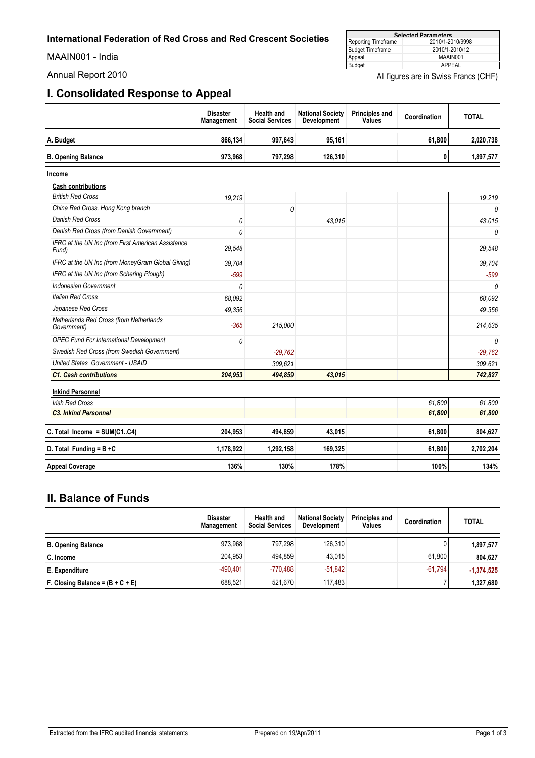<span id="page-14-0"></span>MAAIN001 - India

#### **Selected Parameters** Reporting Timeframe 2010/1-2010/9998 Budget Timeframe 2010/1-2010/12 Appeal MAAIN001 Budget APPEAL

Annual Report 2010 **Annual Report 2010** All figures are in Swiss Francs (CHF)

#### **I. Consolidated Response to Appeal**

|                           | <b>Disaster</b><br>Management | <b>Health and</b><br><b>Social Services</b> | <b>National Society</b><br>Development | <b>Principles and</b><br>Values | Coordination | <b>TOTAL</b> |
|---------------------------|-------------------------------|---------------------------------------------|----------------------------------------|---------------------------------|--------------|--------------|
| A. Budget                 | 866.134                       | 997.643                                     | 95.161                                 |                                 | 61.800       | 2,020,738    |
| <b>B. Opening Balance</b> | 973.968                       | 797.298                                     | 126.310                                |                                 |              | 1,897,577    |

**Income**

**Cash contributions**

| <b>C1. Cash contributions</b>                               | 204,953 | 494,859   | 43.015 | 742,827   |
|-------------------------------------------------------------|---------|-----------|--------|-----------|
| United States Government - USAID                            |         | 309,621   |        | 309.621   |
| <b>Swedish Red Cross (from Swedish Government)</b>          |         | $-29,762$ |        | $-29,762$ |
| <b>OPEC Fund For International Development</b>              | 0       |           |        | 0         |
| Netherlands Red Cross (from Netherlands<br>Government)      | $-365$  | 215,000   |        | 214,635   |
| Japanese Red Cross                                          | 49,356  |           |        | 49,356    |
| Italian Red Cross                                           | 68,092  |           |        | 68.092    |
| Indonesian Government                                       | 0       |           |        | 0         |
| IFRC at the UN Inc (from Schering Plough)                   | $-599$  |           |        | -599      |
| IFRC at the UN Inc (from MoneyGram Global Giving)           | 39,704  |           |        | 39,704    |
| IFRC at the UN Inc (from First American Assistance<br>Fund) | 29,548  |           |        | 29,548    |
| Danish Red Cross (from Danish Government)                   |         |           |        | 0         |
| Danish Red Cross                                            | 0       |           | 43,015 | 43.015    |
| China Red Cross, Hong Kong branch                           |         | 0         |        | 0         |
| <b>British Red Cross</b>                                    | 19,219  |           |        | 19,219    |

## **Inkind Personnel**

| <b>HINHIN L GLOVILIIGI</b>    |           |           |         |        |           |
|-------------------------------|-----------|-----------|---------|--------|-----------|
| <b>Irish Red Cross</b>        |           |           |         | 61.800 | 61.800    |
| <b>C3. Inkind Personnel</b>   |           |           |         | 61,800 | 61,800    |
|                               |           |           |         |        |           |
| C. Total Income = $SUM(C1C4)$ | 204.953   | 494.859   | 43.015  | 61,800 | 804,627   |
|                               | 1.178.922 | 1.292.158 | 169.325 | 61,800 |           |
| D. Total Funding = $B + C$    |           |           |         |        | 2,702,204 |
|                               |           |           |         |        |           |
| <b>Appeal Coverage</b>        | 136%      | 130%      | 178%    | 100%   | 134%      |
|                               |           |           |         |        |           |

#### **II. Balance of Funds**

|                                    | <b>Disaster</b><br><b>Management</b> | <b>Health and</b><br><b>Social Services</b> | <b>National Society</b><br><b>Development</b> | <b>Principles and</b><br>Values | Coordination | <b>TOTAL</b> |
|------------------------------------|--------------------------------------|---------------------------------------------|-----------------------------------------------|---------------------------------|--------------|--------------|
| <b>B. Opening Balance</b>          | 973.968                              | 797.298                                     | 126.310                                       |                                 | 0            | 1,897,577    |
| C. Income                          | 204.953                              | 494.859                                     | 43.015                                        |                                 | 61.800       | 804.627      |
| E. Expenditure                     | $-490.401$                           | $-770.488$                                  | $-51.842$                                     |                                 | $-61.794$    | $-1,374,525$ |
| F. Closing Balance = $(B + C + E)$ | 688.521                              | 521.670                                     | 117.483                                       |                                 |              | 1,327,680    |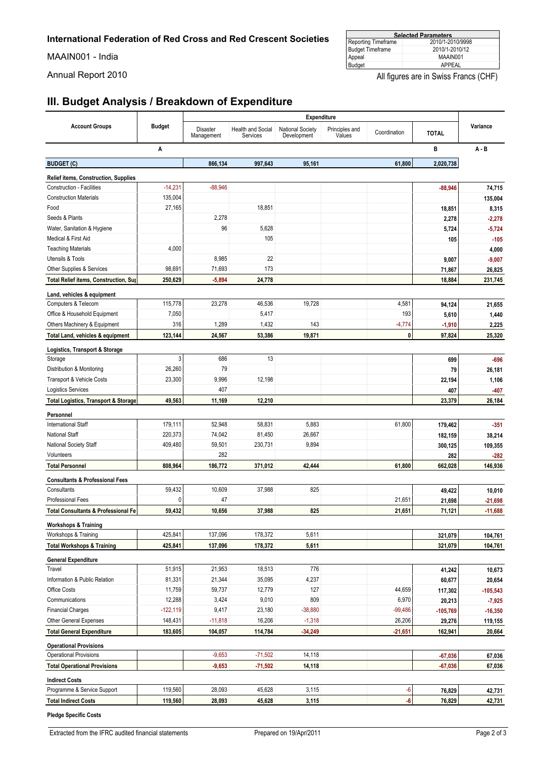MAAIN001 - India

| <b>Selected Parameters</b> |                  |  |  |  |
|----------------------------|------------------|--|--|--|
| Reporting Timeframe        | 2010/1-2010/9998 |  |  |  |
| <b>Budget Timeframe</b>    | 2010/1-2010/12   |  |  |  |
| Appeal                     | MAAIN001         |  |  |  |
| Budget                     | APPFAL           |  |  |  |

Annual Report 2010 **All figures are in Swiss Francs (CHF)** All figures are in Swiss Francs (CHF)

## **III. Budget Analysis / Breakdown of Expenditure**

|                                                                                 | Expenditure   |                        |                                      |                                        |                          |              |                    |                  |
|---------------------------------------------------------------------------------|---------------|------------------------|--------------------------------------|----------------------------------------|--------------------------|--------------|--------------------|------------------|
| <b>Account Groups</b>                                                           | <b>Budget</b> | Disaster<br>Management | <b>Health and Social</b><br>Services | <b>National Society</b><br>Development | Principles and<br>Values | Coordination | <b>TOTAL</b>       | Variance         |
|                                                                                 | A             |                        |                                      |                                        |                          |              | B                  | $A - B$          |
| <b>BUDGET (C)</b>                                                               |               | 866,134                | 997,643                              | 95,161                                 |                          | 61,800       | 2,020,738          |                  |
|                                                                                 |               |                        |                                      |                                        |                          |              |                    |                  |
| <b>Relief items, Construction, Supplies</b><br><b>Construction - Facilities</b> | $-14,231$     | $-88,946$              |                                      |                                        |                          |              |                    |                  |
| <b>Construction Materials</b>                                                   | 135,004       |                        |                                      |                                        |                          |              | $-88,946$          | 74,715           |
| Food                                                                            | 27,165        |                        | 18,851                               |                                        |                          |              | 18,851             | 135,004<br>8,315 |
| Seeds & Plants                                                                  |               | 2,278                  |                                      |                                        |                          |              | 2,278              | $-2,278$         |
| Water, Sanitation & Hygiene                                                     |               | 96                     | 5,628                                |                                        |                          |              | 5,724              | $-5,724$         |
| Medical & First Aid                                                             |               |                        | 105                                  |                                        |                          |              | 105                | $-105$           |
| <b>Teaching Materials</b>                                                       | 4,000         |                        |                                      |                                        |                          |              |                    | 4,000            |
| Utensils & Tools                                                                |               | 8,985                  | 22                                   |                                        |                          |              | 9,007              | $-9,007$         |
| Other Supplies & Services                                                       | 98,691        | 71,693                 | 173                                  |                                        |                          |              | 71,867             | 26,825           |
| <b>Total Relief items, Construction, Sup</b>                                    | 250,629       | $-5,894$               | 24,778                               |                                        |                          |              | 18,884             | 231,745          |
|                                                                                 |               |                        |                                      |                                        |                          |              |                    |                  |
| Land, vehicles & equipment<br>Computers & Telecom                               | 115,778       | 23,278                 | 46,536                               | 19,728                                 |                          | 4,581        | 94,124             |                  |
| Office & Household Equipment                                                    | 7,050         |                        | 5,417                                |                                        |                          | 193          |                    | 21,655           |
| Others Machinery & Equipment                                                    | 316           | 1,289                  | 1,432                                | 143                                    |                          | $-4,774$     | 5,610              | 1,440            |
| Total Land, vehicles & equipment                                                | 123,144       | 24,567                 | 53,386                               | 19,871                                 |                          | 0            | $-1,910$<br>97,824 | 2,225<br>25,320  |
|                                                                                 |               |                        |                                      |                                        |                          |              |                    |                  |
| Logistics, Transport & Storage                                                  |               |                        |                                      |                                        |                          |              |                    |                  |
| Storage                                                                         | 3             | 686                    | 13                                   |                                        |                          |              | 699                | $-696$           |
| Distribution & Monitoring                                                       | 26,260        | 79                     |                                      |                                        |                          |              | 79                 | 26,181           |
| Transport & Vehicle Costs                                                       | 23,300        | 9,996                  | 12,198                               |                                        |                          |              | 22,194             | 1,106            |
| <b>Logistics Services</b>                                                       |               | 407                    |                                      |                                        |                          |              | 407                | $-407$           |
| <b>Total Logistics, Transport &amp; Storage</b>                                 | 49,563        | 11,169                 | 12,210                               |                                        |                          |              | 23,379             | 26,184           |
| Personnel                                                                       |               |                        |                                      |                                        |                          |              |                    |                  |
| <b>International Staff</b>                                                      | 179,111       | 52,948                 | 58,831                               | 5,883                                  |                          | 61,800       | 179,462            | $-351$           |
| <b>National Staff</b>                                                           | 220,373       | 74,042                 | 81,450                               | 26,667                                 |                          |              | 182,159            | 38,214           |
| National Society Staff                                                          | 409,480       | 59,501                 | 230,731                              | 9,894                                  |                          |              | 300,125            | 109,355          |
| Volunteers                                                                      |               | 282                    |                                      |                                        |                          |              | 282                | $-282$           |
| <b>Total Personnel</b>                                                          | 808,964       | 186,772                | 371,012                              | 42,444                                 |                          | 61,800       | 662,028            | 146,936          |
| <b>Consultants &amp; Professional Fees</b>                                      |               |                        |                                      |                                        |                          |              |                    |                  |
| Consultants                                                                     | 59,432        | 10,609                 | 37,988                               | 825                                    |                          |              | 49,422             | 10,010           |
| Professional Fees                                                               | 0             | 47                     |                                      |                                        |                          | 21,651       | 21,698             | $-21,698$        |
| <b>Total Consultants &amp; Professional Fe</b>                                  | 59,432        | 10,656                 | 37,988                               | 825                                    |                          | 21,651       | 71,121             | $-11,688$        |
| <b>Workshops &amp; Training</b>                                                 |               |                        |                                      |                                        |                          |              |                    |                  |
| Workshops & Training                                                            | 425,841       | 137,096                | 178,372                              | 5,611                                  |                          |              | 321,079            | 104,761          |
| <b>Total Workshops &amp; Training</b>                                           | 425,841       | 137,096                | 178,372                              | 5,611                                  |                          |              | 321,079            | 104,761          |
| <b>General Expenditure</b>                                                      |               |                        |                                      |                                        |                          |              |                    |                  |
| Travel                                                                          | 51,915        | 21,953                 | 18,513                               | 776                                    |                          |              | 41,242             | 10,673           |
| Information & Public Relation                                                   | 81,331        | 21,344                 | 35,095                               | 4,237                                  |                          |              | 60,677             | 20,654           |
| Office Costs                                                                    | 11,759        | 59,737                 | 12,779                               | 127                                    |                          | 44,659       | 117,302            | $-105,543$       |
| Communications                                                                  | 12,288        | 3,424                  | 9,010                                | 809                                    |                          | 6,970        | 20,213             | $-7,925$         |
| <b>Financial Charges</b>                                                        | $-122,119$    | 9,417                  | 23,180                               | $-38,880$                              |                          | $-99,486$    | $-105,769$         | $-16,350$        |
| Other General Expenses                                                          | 148,431       | $-11,818$              | 16,206                               | $-1,318$                               |                          | 26,206       | 29,276             | 119,155          |
| <b>Total General Expenditure</b>                                                | 183,605       | 104,057                | 114,784                              | $-34,249$                              |                          | $-21,651$    | 162,941            | 20,664           |
|                                                                                 |               |                        |                                      |                                        |                          |              |                    |                  |
| <b>Operational Provisions</b><br><b>Operational Provisions</b>                  |               | $-9,653$               | $-71,502$                            | 14,118                                 |                          |              | $-67,036$          |                  |
|                                                                                 |               |                        |                                      |                                        |                          |              |                    | 67,036           |
| <b>Total Operational Provisions</b>                                             |               | $-9,653$               | $-71,502$                            | 14,118                                 |                          |              | $-67,036$          | 67,036           |
| <b>Indirect Costs</b>                                                           |               |                        |                                      |                                        |                          |              |                    |                  |
| Programme & Service Support                                                     | 119,560       | 28,093                 | 45,628                               | 3,115                                  |                          | -6           | 76,829             | 42,731           |
| <b>Total Indirect Costs</b>                                                     | 119,560       | 28,093                 | 45,628                               | 3,115                                  |                          | -6           | 76,829             | 42,731           |
| <b>Pledge Specific Costs</b>                                                    |               |                        |                                      |                                        |                          |              |                    |                  |